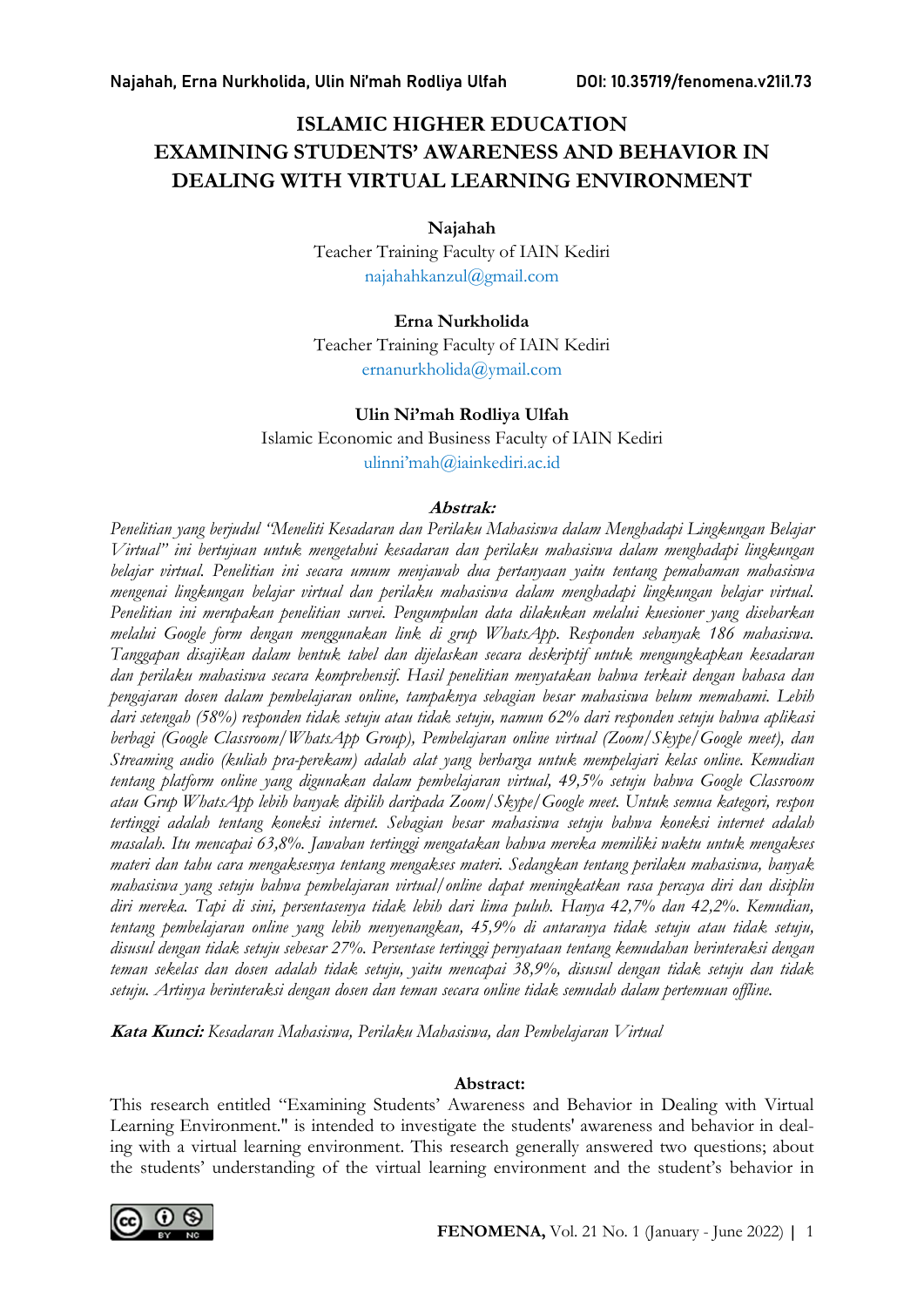# ISLAMIC HIGHER EDUCATION EXAMINING STUDENTS' AWARENESS AND BEHAVIOR IN DEALING WITH VIRTUAL LEARNING ENVIRONMENT

Najahah

Teacher Training Faculty of IAIN Kediri najahahkanzul@gmail.com

#### Erna Nurkholida

Teacher Training Faculty of IAIN Kediri ernanurkholida@ymail.com

#### Ulin Ni'mah Rodliya Ulfah

Islamic Economic and Business Faculty of IAIN Kediri ulinni'mah@iainkediri.ac.id

#### Abstrak:

Penelitian yang berjudul "Meneliti Kesadaran dan Perilaku Mahasiswa dalam Menghadapi Lingkungan Belajar Virtual" ini bertujuan untuk mengetahui kesadaran dan perilaku mahasiswa dalam menghadapi lingkungan belajar virtual. Penelitian ini secara umum menjawab dua pertanyaan yaitu tentang pemahaman mahasiswa mengenai lingkungan belajar virtual dan perilaku mahasiswa dalam menghadapi lingkungan belajar virtual. Penelitian ini merupakan penelitian survei. Pengumpulan data dilakukan melalui kuesioner yang disebarkan melalui Google form dengan menggunakan link di grup WhatsApp. Responden sebanyak 186 mahasiswa. Tanggapan disajikan dalam bentuk tabel dan dijelaskan secara deskriptif untuk mengungkapkan kesadaran dan perilaku mahasiswa secara komprehensif. Hasil penelitian menyatakan bahwa terkait dengan bahasa dan pengajaran dosen dalam pembelajaran online, tampaknya sebagian besar mahasiswa belum memahami. Lebih dari setengah (58%) responden tidak setuju atau tidak setuju, namun 62% dari responden setuju bahwa aplikasi berbagi (Google Classroom/WhatsApp Group), Pembelajaran online virtual (Zoom/Skype/Google meet), dan Streaming audio (kuliah pra-perekam) adalah alat yang berharga untuk mempelajari kelas online. Kemudian tentang platform online yang digunakan dalam pembelajaran virtual, 49,5% setuju bahwa Google Classroom atau Grup WhatsApp lebih banyak dipilih daripada Zoom/Skype/Google meet. Untuk semua kategori, respon tertinggi adalah tentang koneksi internet. Sebagian besar mahasiswa setuju bahwa koneksi internet adalah masalah. Itu mencapai 63,8%. Jawaban tertinggi mengatakan bahwa mereka memiliki waktu untuk mengakses materi dan tahu cara mengaksesnya tentang mengakses materi. Sedangkan tentang perilaku mahasiswa, banyak mahasiswa yang setuju bahwa pembelajaran virtual/online dapat meningkatkan rasa percaya diri dan disiplin diri mereka. Tapi di sini, persentasenya tidak lebih dari lima puluh. Hanya 42,7% dan 42,2%. Kemudian, tentang pembelajaran online yang lebih menyenangkan, 45,9% di antaranya tidak setuju atau tidak setuju, disusul dengan tidak setuju sebesar 27%. Persentase tertinggi pernyataan tentang kemudahan berinteraksi dengan teman sekelas dan dosen adalah tidak setuju, yaitu mencapai 38,9%, disusul dengan tidak setuju dan tidak setuju. Artinya berinteraksi dengan dosen dan teman secara online tidak semudah dalam pertemuan offline.

Kata Kunci: Kesadaran Mahasiswa, Perilaku Mahasiswa, dan Pembelajaran Virtual

#### Abstract:

This research entitled "Examining Students' Awareness and Behavior in Dealing with Virtual Learning Environment." is intended to investigate the students' awareness and behavior in dealing with a virtual learning environment. This research generally answered two questions; about the students' understanding of the virtual learning environment and the student's behavior in

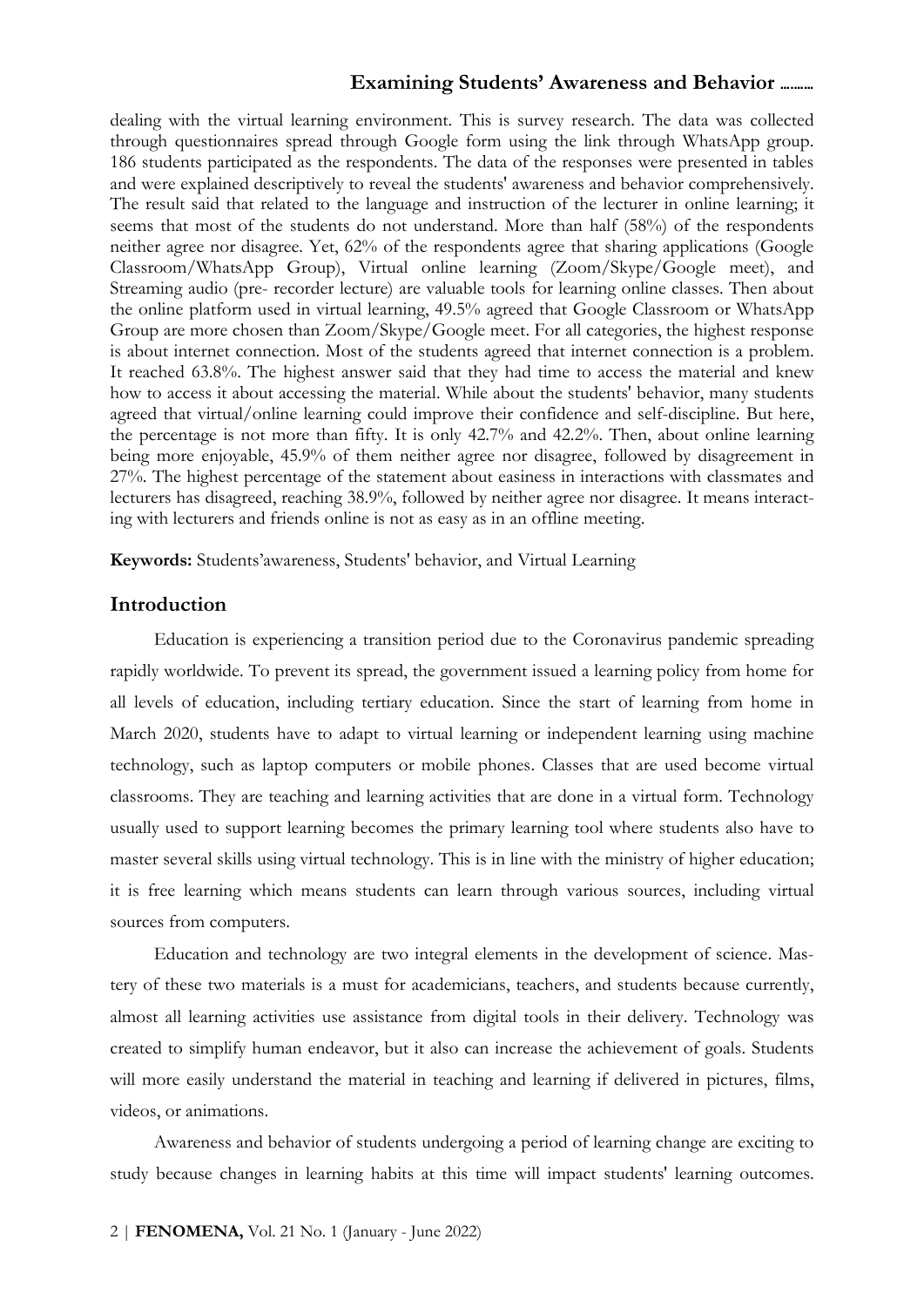dealing with the virtual learning environment. This is survey research. The data was collected through questionnaires spread through Google form using the link through WhatsApp group. 186 students participated as the respondents. The data of the responses were presented in tables and were explained descriptively to reveal the students' awareness and behavior comprehensively. The result said that related to the language and instruction of the lecturer in online learning; it seems that most of the students do not understand. More than half (58%) of the respondents neither agree nor disagree. Yet, 62% of the respondents agree that sharing applications (Google Classroom/WhatsApp Group), Virtual online learning (Zoom/Skype/Google meet), and Streaming audio (pre- recorder lecture) are valuable tools for learning online classes. Then about the online platform used in virtual learning, 49.5% agreed that Google Classroom or WhatsApp Group are more chosen than Zoom/Skype/Google meet. For all categories, the highest response is about internet connection. Most of the students agreed that internet connection is a problem. It reached 63.8%. The highest answer said that they had time to access the material and knew how to access it about accessing the material. While about the students' behavior, many students agreed that virtual/online learning could improve their confidence and self-discipline. But here, the percentage is not more than fifty. It is only 42.7% and 42.2%. Then, about online learning being more enjoyable, 45.9% of them neither agree nor disagree, followed by disagreement in 27%. The highest percentage of the statement about easiness in interactions with classmates and lecturers has disagreed, reaching 38.9%, followed by neither agree nor disagree. It means interacting with lecturers and friends online is not as easy as in an offline meeting.

Keywords: Students'awareness, Students' behavior, and Virtual Learning

# Introduction

Education is experiencing a transition period due to the Coronavirus pandemic spreading rapidly worldwide. To prevent its spread, the government issued a learning policy from home for all levels of education, including tertiary education. Since the start of learning from home in March 2020, students have to adapt to virtual learning or independent learning using machine technology, such as laptop computers or mobile phones. Classes that are used become virtual classrooms. They are teaching and learning activities that are done in a virtual form. Technology usually used to support learning becomes the primary learning tool where students also have to master several skills using virtual technology. This is in line with the ministry of higher education; it is free learning which means students can learn through various sources, including virtual sources from computers.

Education and technology are two integral elements in the development of science. Mastery of these two materials is a must for academicians, teachers, and students because currently, almost all learning activities use assistance from digital tools in their delivery. Technology was created to simplify human endeavor, but it also can increase the achievement of goals. Students will more easily understand the material in teaching and learning if delivered in pictures, films, videos, or animations.

Awareness and behavior of students undergoing a period of learning change are exciting to study because changes in learning habits at this time will impact students' learning outcomes.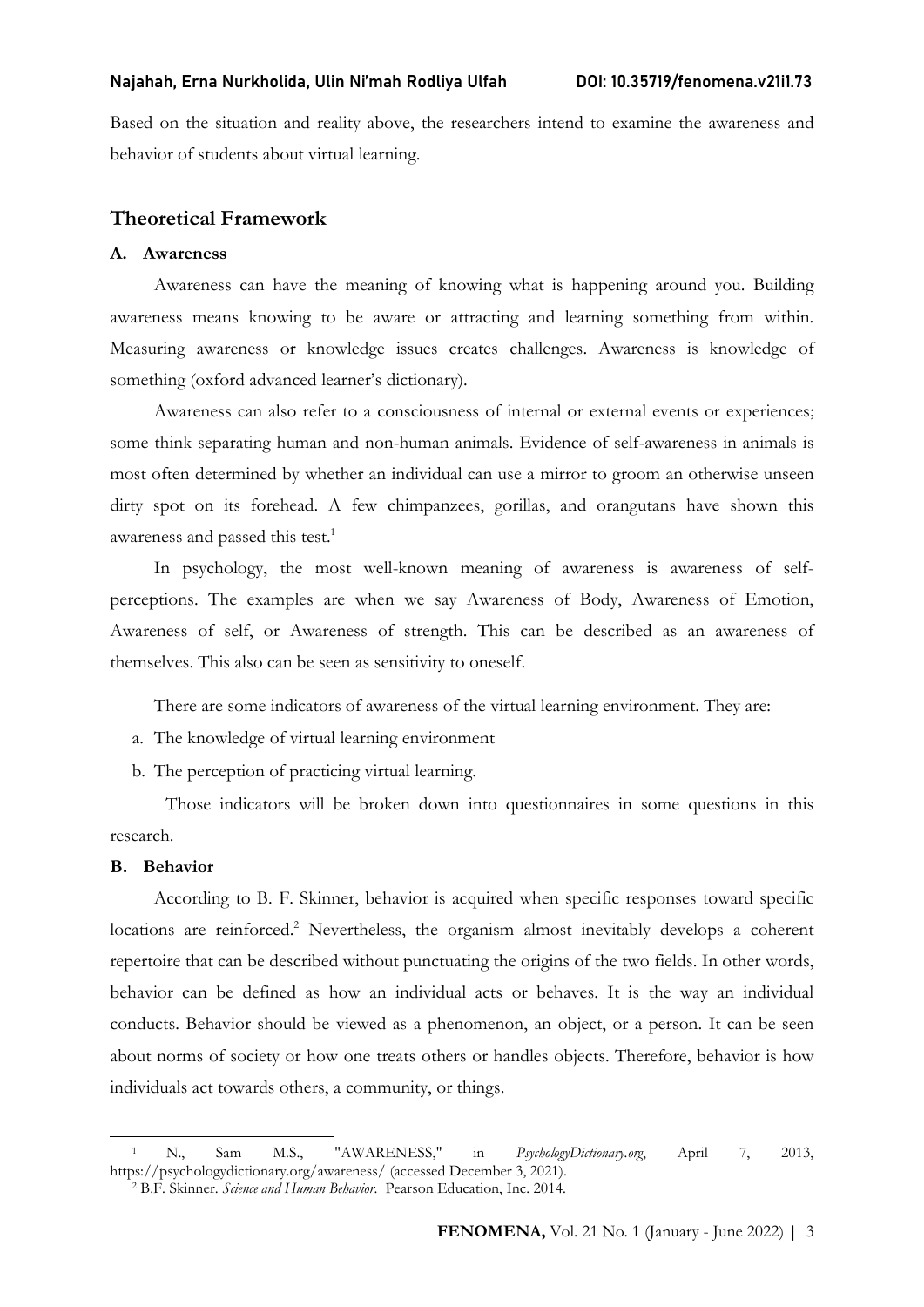Based on the situation and reality above, the researchers intend to examine the awareness and behavior of students about virtual learning.

## Theoretical Framework

#### A. Awareness

Awareness can have the meaning of knowing what is happening around you. Building awareness means knowing to be aware or attracting and learning something from within. Measuring awareness or knowledge issues creates challenges. Awareness is knowledge of something (oxford advanced learner's dictionary).

Awareness can also refer to a consciousness of internal or external events or experiences; some think separating human and non-human animals. Evidence of self-awareness in animals is most often determined by whether an individual can use a mirror to groom an otherwise unseen dirty spot on its forehead. A few chimpanzees, gorillas, and orangutans have shown this awareness and passed this test.<sup>1</sup>

In psychology, the most well-known meaning of awareness is awareness of selfperceptions. The examples are when we say Awareness of Body, Awareness of Emotion, Awareness of self, or Awareness of strength. This can be described as an awareness of themselves. This also can be seen as sensitivity to oneself.

There are some indicators of awareness of the virtual learning environment. They are:

- a. The knowledge of virtual learning environment
- b. The perception of practicing virtual learning.

 Those indicators will be broken down into questionnaires in some questions in this research.

#### B. Behavior

According to B. F. Skinner, behavior is acquired when specific responses toward specific locations are reinforced.<sup>2</sup> Nevertheless, the organism almost inevitably develops a coherent repertoire that can be described without punctuating the origins of the two fields. In other words, behavior can be defined as how an individual acts or behaves. It is the way an individual conducts. Behavior should be viewed as a phenomenon, an object, or a person. It can be seen about norms of society or how one treats others or handles objects. Therefore, behavior is how individuals act towards others, a community, or things.

<sup>1</sup> N., Sam M.S., "AWARENESS," in PsychologyDictionary.org, April 7, 2013, https://psychologydictionary.org/awareness/ (accessed December 3, 2021).

<sup>&</sup>lt;sup>2</sup> B.F. Skinner. Science and Human Behavior. Pearson Education, Inc. 2014.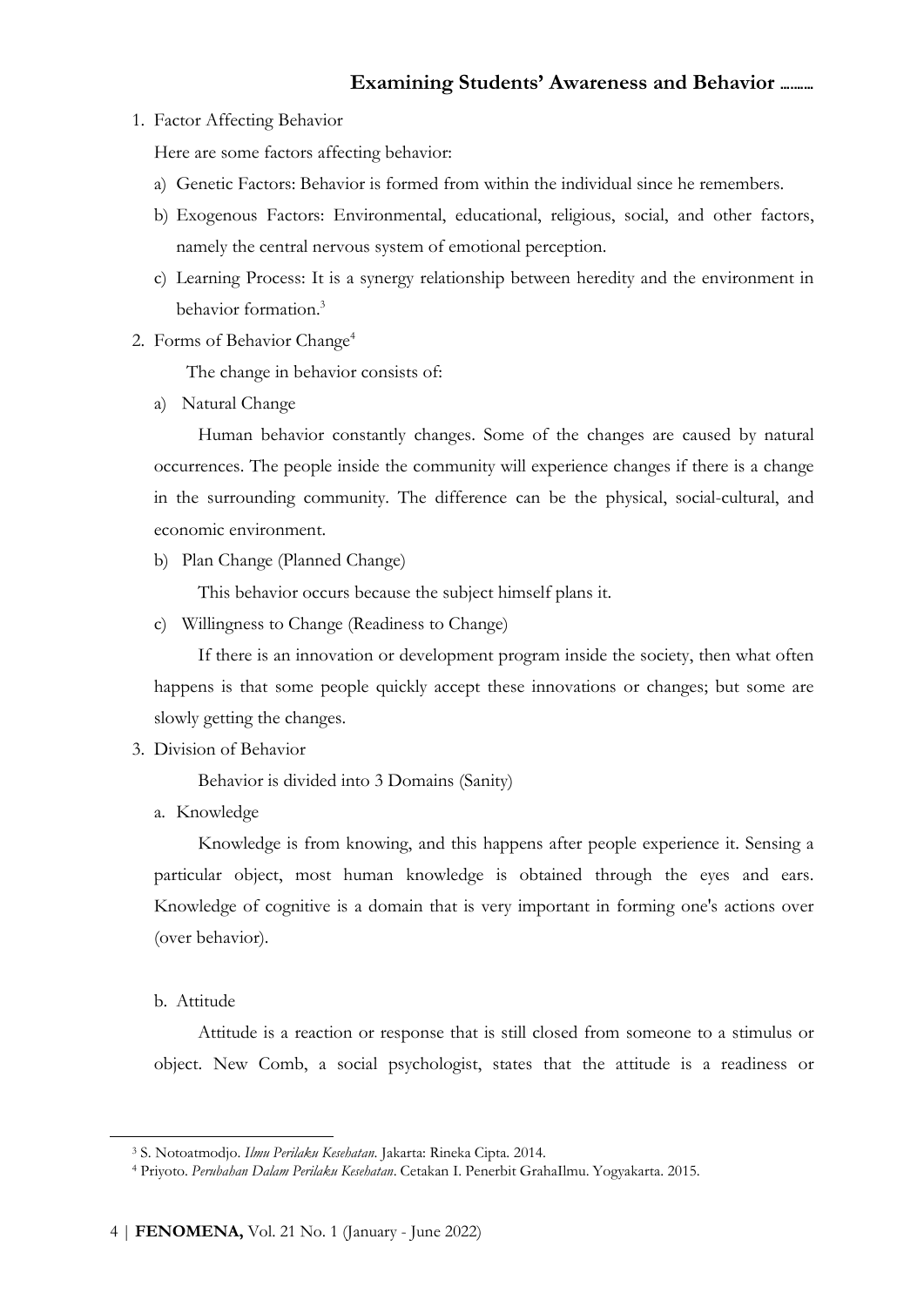1. Factor Affecting Behavior

Here are some factors affecting behavior:

- a) Genetic Factors: Behavior is formed from within the individual since he remembers.
- b) Exogenous Factors: Environmental, educational, religious, social, and other factors, namely the central nervous system of emotional perception.
- c) Learning Process: It is a synergy relationship between heredity and the environment in behavior formation.<sup>3</sup>
- 2. Forms of Behavior Change<sup>4</sup>

The change in behavior consists of:

a) Natural Change

Human behavior constantly changes. Some of the changes are caused by natural occurrences. The people inside the community will experience changes if there is a change in the surrounding community. The difference can be the physical, social-cultural, and economic environment.

b) Plan Change (Planned Change)

This behavior occurs because the subject himself plans it.

c) Willingness to Change (Readiness to Change)

If there is an innovation or development program inside the society, then what often happens is that some people quickly accept these innovations or changes; but some are slowly getting the changes.

3. Division of Behavior

Behavior is divided into 3 Domains (Sanity)

a. Knowledge

Knowledge is from knowing, and this happens after people experience it. Sensing a particular object, most human knowledge is obtained through the eyes and ears. Knowledge of cognitive is a domain that is very important in forming one's actions over (over behavior).

b. Attitude

Attitude is a reaction or response that is still closed from someone to a stimulus or object. New Comb, a social psychologist, states that the attitude is a readiness or

<sup>&</sup>lt;sup>3</sup> S. Notoatmodjo. Ilmu Perilaku Kesehatan. Jakarta: Rineka Cipta. 2014.

<sup>4</sup> Priyoto. Perubahan Dalam Perilaku Kesehatan. Cetakan I. Penerbit GrahaIlmu. Yogyakarta. 2015.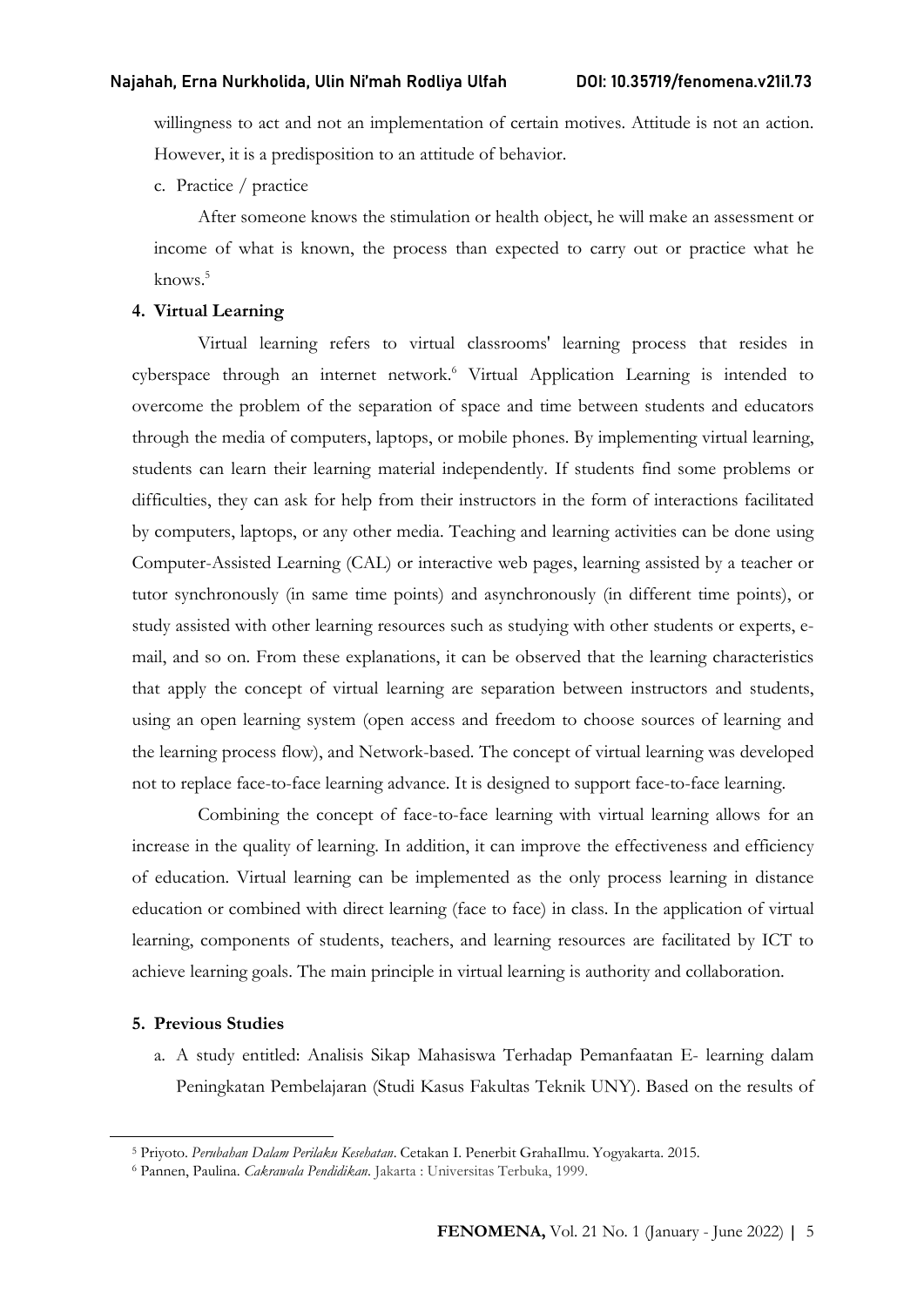willingness to act and not an implementation of certain motives. Attitude is not an action. However, it is a predisposition to an attitude of behavior.

c. Practice / practice

After someone knows the stimulation or health object, he will make an assessment or income of what is known, the process than expected to carry out or practice what he knows.<sup>5</sup>

#### 4. Virtual Learning

Virtual learning refers to virtual classrooms' learning process that resides in cyberspace through an internet network.<sup>6</sup> Virtual Application Learning is intended to overcome the problem of the separation of space and time between students and educators through the media of computers, laptops, or mobile phones. By implementing virtual learning, students can learn their learning material independently. If students find some problems or difficulties, they can ask for help from their instructors in the form of interactions facilitated by computers, laptops, or any other media. Teaching and learning activities can be done using Computer-Assisted Learning (CAL) or interactive web pages, learning assisted by a teacher or tutor synchronously (in same time points) and asynchronously (in different time points), or study assisted with other learning resources such as studying with other students or experts, email, and so on. From these explanations, it can be observed that the learning characteristics that apply the concept of virtual learning are separation between instructors and students, using an open learning system (open access and freedom to choose sources of learning and the learning process flow), and Network-based. The concept of virtual learning was developed not to replace face-to-face learning advance. It is designed to support face-to-face learning.

Combining the concept of face-to-face learning with virtual learning allows for an increase in the quality of learning. In addition, it can improve the effectiveness and efficiency of education. Virtual learning can be implemented as the only process learning in distance education or combined with direct learning (face to face) in class. In the application of virtual learning, components of students, teachers, and learning resources are facilitated by ICT to achieve learning goals. The main principle in virtual learning is authority and collaboration.

#### 5. Previous Studies

a. A study entitled: Analisis Sikap Mahasiswa Terhadap Pemanfaatan E- learning dalam Peningkatan Pembelajaran (Studi Kasus Fakultas Teknik UNY). Based on the results of

<sup>&</sup>lt;sup>5</sup> Priyoto. Perubahan Dalam Perilaku Kesehatan. Cetakan I. Penerbit GrahaIlmu. Yogyakarta. 2015.

<sup>&</sup>lt;sup>6</sup> Pannen, Paulina. *Cakrawala Pendidikan*. Jakarta : Universitas Terbuka, 1999.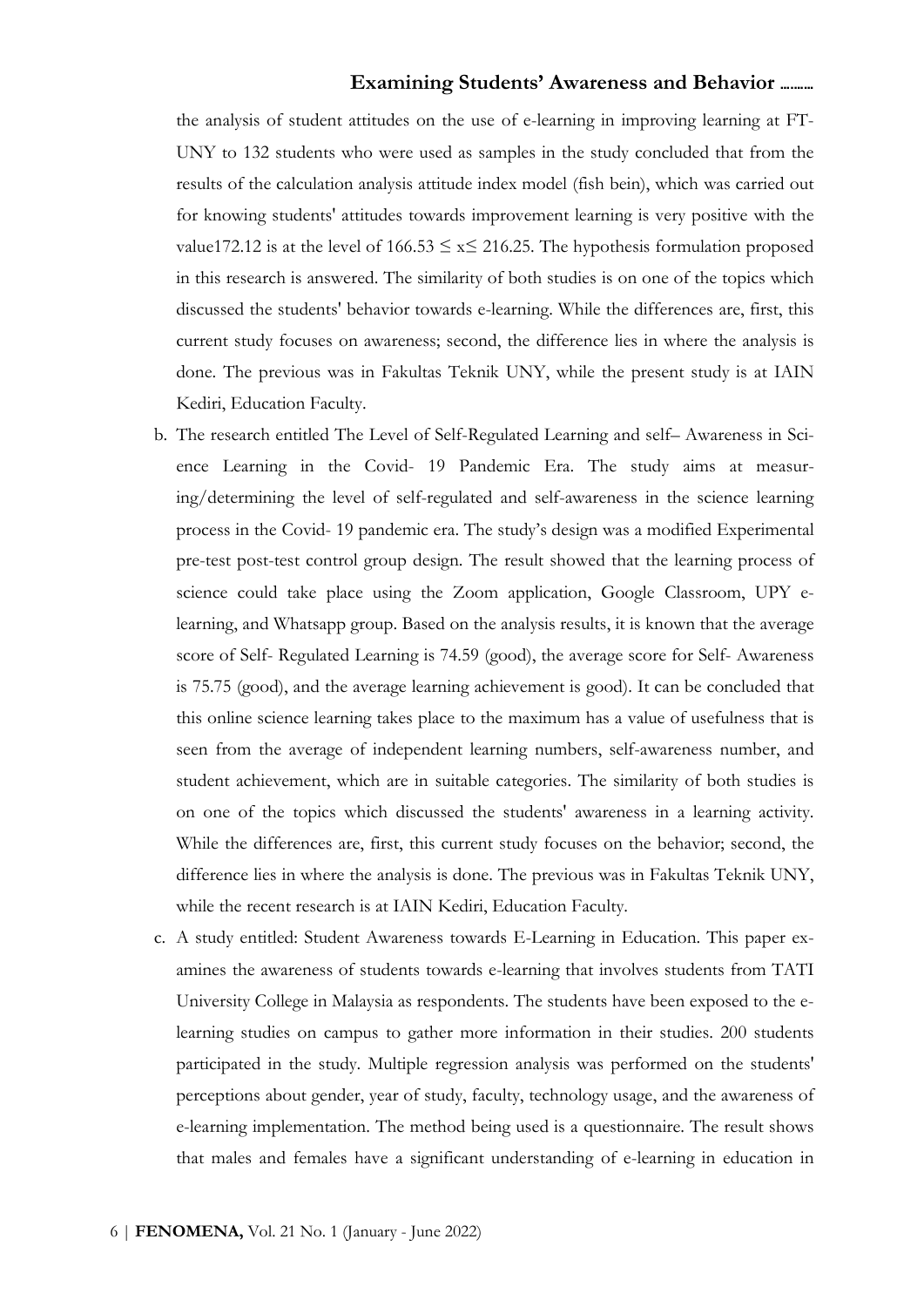the analysis of student attitudes on the use of e-learning in improving learning at FT-UNY to 132 students who were used as samples in the study concluded that from the results of the calculation analysis attitude index model (fish bein), which was carried out for knowing students' attitudes towards improvement learning is very positive with the value172.12 is at the level of  $166.53 \le x \le 216.25$ . The hypothesis formulation proposed in this research is answered. The similarity of both studies is on one of the topics which discussed the students' behavior towards e-learning. While the differences are, first, this current study focuses on awareness; second, the difference lies in where the analysis is done. The previous was in Fakultas Teknik UNY, while the present study is at IAIN Kediri, Education Faculty.

- b. The research entitled The Level of Self-Regulated Learning and self– Awareness in Science Learning in the Covid- 19 Pandemic Era. The study aims at measuring/determining the level of self-regulated and self-awareness in the science learning process in the Covid- 19 pandemic era. The study's design was a modified Experimental pre-test post-test control group design. The result showed that the learning process of science could take place using the Zoom application, Google Classroom, UPY elearning, and Whatsapp group. Based on the analysis results, it is known that the average score of Self- Regulated Learning is 74.59 (good), the average score for Self- Awareness is 75.75 (good), and the average learning achievement is good). It can be concluded that this online science learning takes place to the maximum has a value of usefulness that is seen from the average of independent learning numbers, self-awareness number, and student achievement, which are in suitable categories. The similarity of both studies is on one of the topics which discussed the students' awareness in a learning activity. While the differences are, first, this current study focuses on the behavior; second, the difference lies in where the analysis is done. The previous was in Fakultas Teknik UNY, while the recent research is at IAIN Kediri, Education Faculty.
- c. A study entitled: Student Awareness towards E-Learning in Education. This paper examines the awareness of students towards e-learning that involves students from TATI University College in Malaysia as respondents. The students have been exposed to the elearning studies on campus to gather more information in their studies. 200 students participated in the study. Multiple regression analysis was performed on the students' perceptions about gender, year of study, faculty, technology usage, and the awareness of e-learning implementation. The method being used is a questionnaire. The result shows that males and females have a significant understanding of e-learning in education in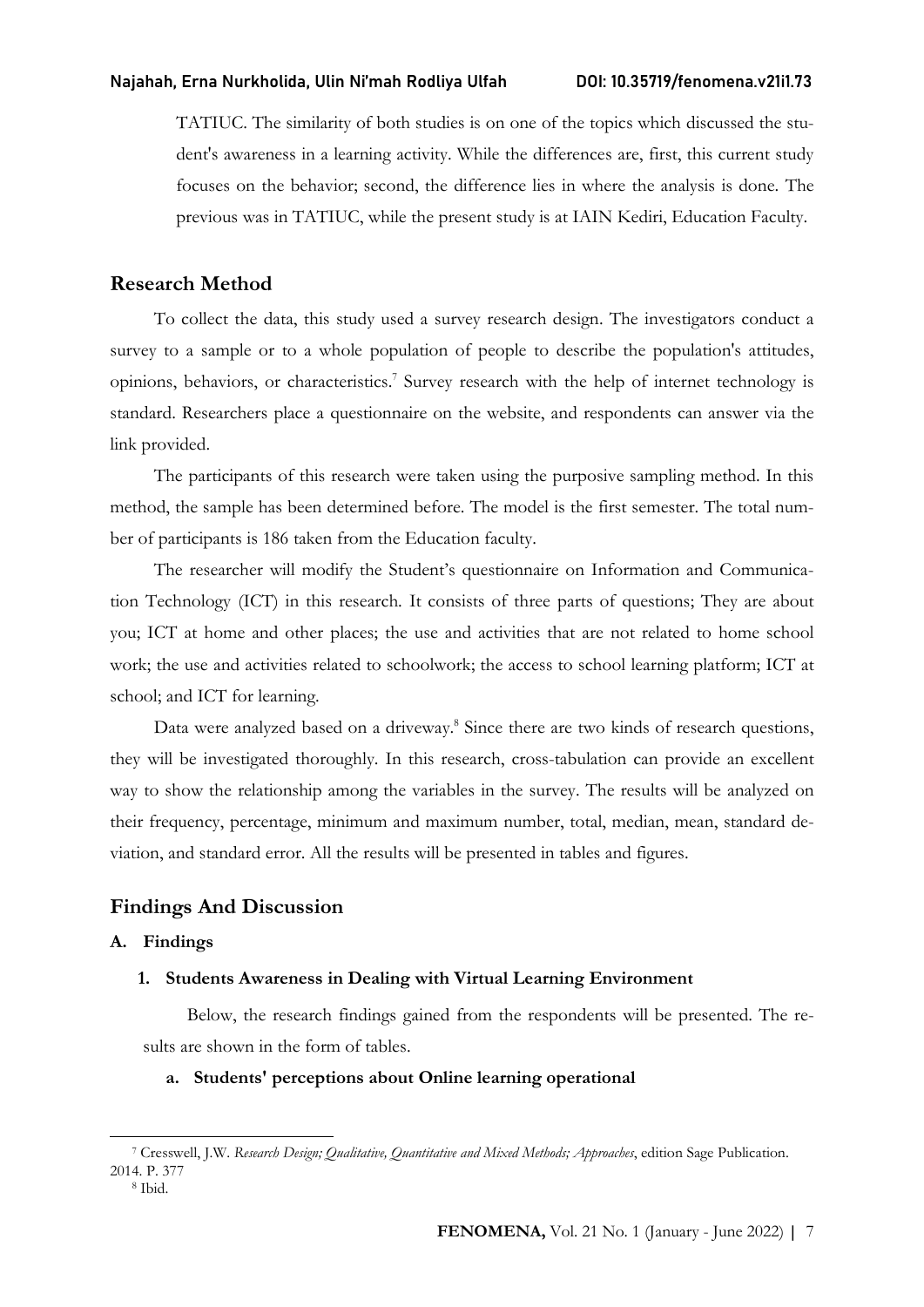TATIUC. The similarity of both studies is on one of the topics which discussed the student's awareness in a learning activity. While the differences are, first, this current study focuses on the behavior; second, the difference lies in where the analysis is done. The previous was in TATIUC, while the present study is at IAIN Kediri, Education Faculty.

## Research Method

To collect the data, this study used a survey research design. The investigators conduct a survey to a sample or to a whole population of people to describe the population's attitudes, opinions, behaviors, or characteristics.<sup>7</sup> Survey research with the help of internet technology is standard. Researchers place a questionnaire on the website, and respondents can answer via the link provided.

The participants of this research were taken using the purposive sampling method. In this method, the sample has been determined before. The model is the first semester. The total number of participants is 186 taken from the Education faculty.

The researcher will modify the Student's questionnaire on Information and Communication Technology (ICT) in this research. It consists of three parts of questions; They are about you; ICT at home and other places; the use and activities that are not related to home school work; the use and activities related to schoolwork; the access to school learning platform; ICT at school; and ICT for learning.

Data were analyzed based on a driveway.<sup>8</sup> Since there are two kinds of research questions, they will be investigated thoroughly. In this research, cross-tabulation can provide an excellent way to show the relationship among the variables in the survey. The results will be analyzed on their frequency, percentage, minimum and maximum number, total, median, mean, standard deviation, and standard error. All the results will be presented in tables and figures.

## Findings And Discussion

## A. Findings

#### 1. Students Awareness in Dealing with Virtual Learning Environment

Below, the research findings gained from the respondents will be presented. The results are shown in the form of tables.

## a. Students' perceptions about Online learning operational

<sup>&</sup>lt;sup>7</sup> Cresswell, J.W. Research Design; Qualitative, Quantitative and Mixed Methods; Approaches, edition Sage Publication. 2014. P. 377

<sup>8</sup> Ibid.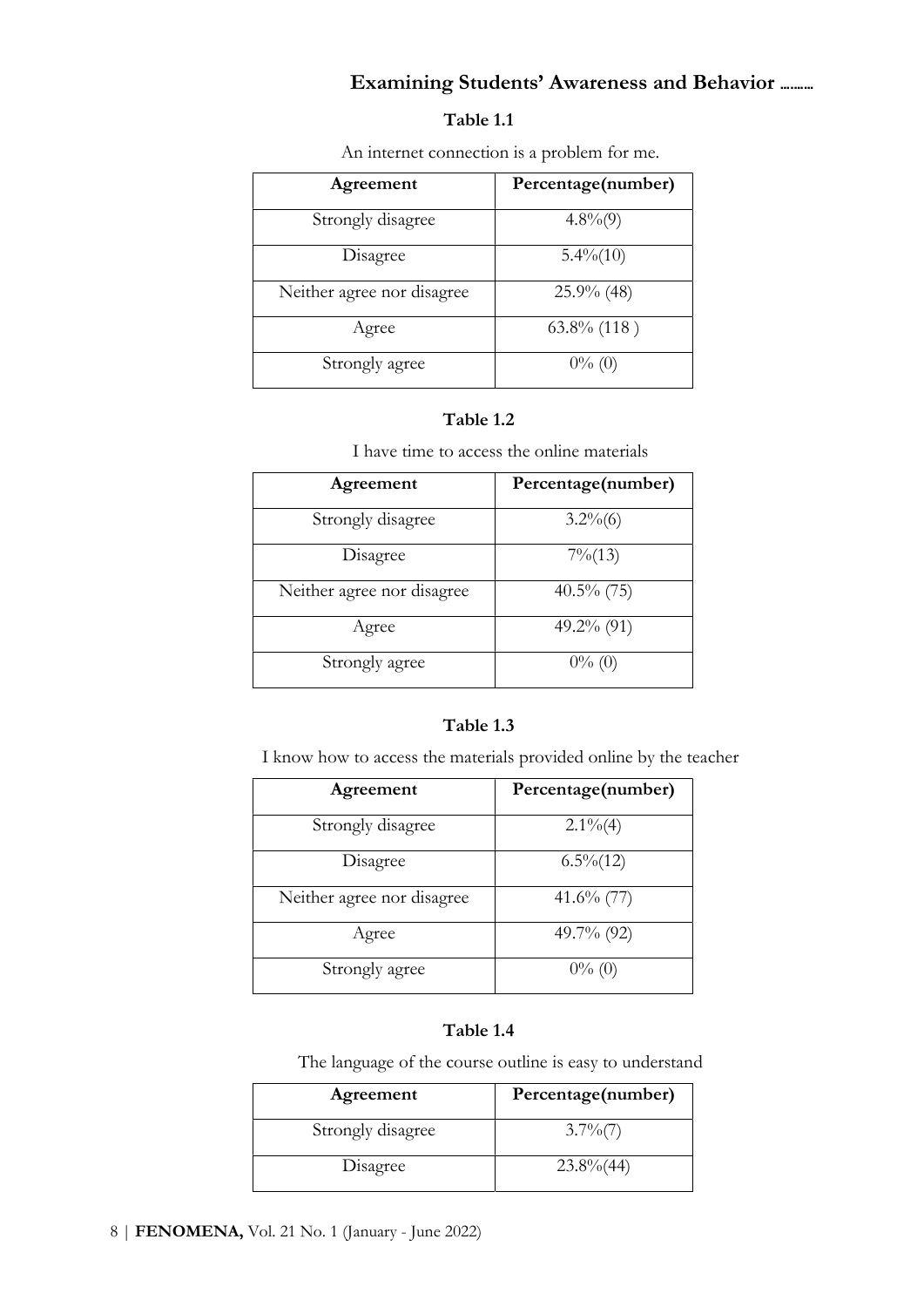## Table 1.1

An internet connection is a problem for me.

| Agreement                  | Percentage(number) |
|----------------------------|--------------------|
| Strongly disagree          | $4.8\%(9)$         |
| Disagree                   | $5.4\%(10)$        |
| Neither agree nor disagree | $25.9\%$ (48)      |
| Agree                      | $63.8\%$ (118)     |
| Strongly agree             | $0\%$ (0)          |

## Table 1.2

I have time to access the online materials

| Agreement                  | Percentage(number) |
|----------------------------|--------------------|
| Strongly disagree          | $3.2\%(6)$         |
| Disagree                   | $7\% (13)$         |
| Neither agree nor disagree | $40.5\%$ (75)      |
| Agree                      | $49.2\%$ (91)      |
| Strongly agree             | $0\%$ (0)          |

## Table 1.3

I know how to access the materials provided online by the teacher

| Agreement                  | Percentage(number) |
|----------------------------|--------------------|
| Strongly disagree          | $2.1\%$ (4)        |
| Disagree                   | $6.5\%$ (12)       |
| Neither agree nor disagree | $41.6\%$ (77)      |
| Agree                      | 49.7% (92)         |
| Strongly agree             | $0\%$ (0)          |

# Table 1.4

The language of the course outline is easy to understand

| Agreement         | Percentage(number) |
|-------------------|--------------------|
| Strongly disagree | $3.7\%$ (7)        |
| Disagree          | $23.8\%$ (44)      |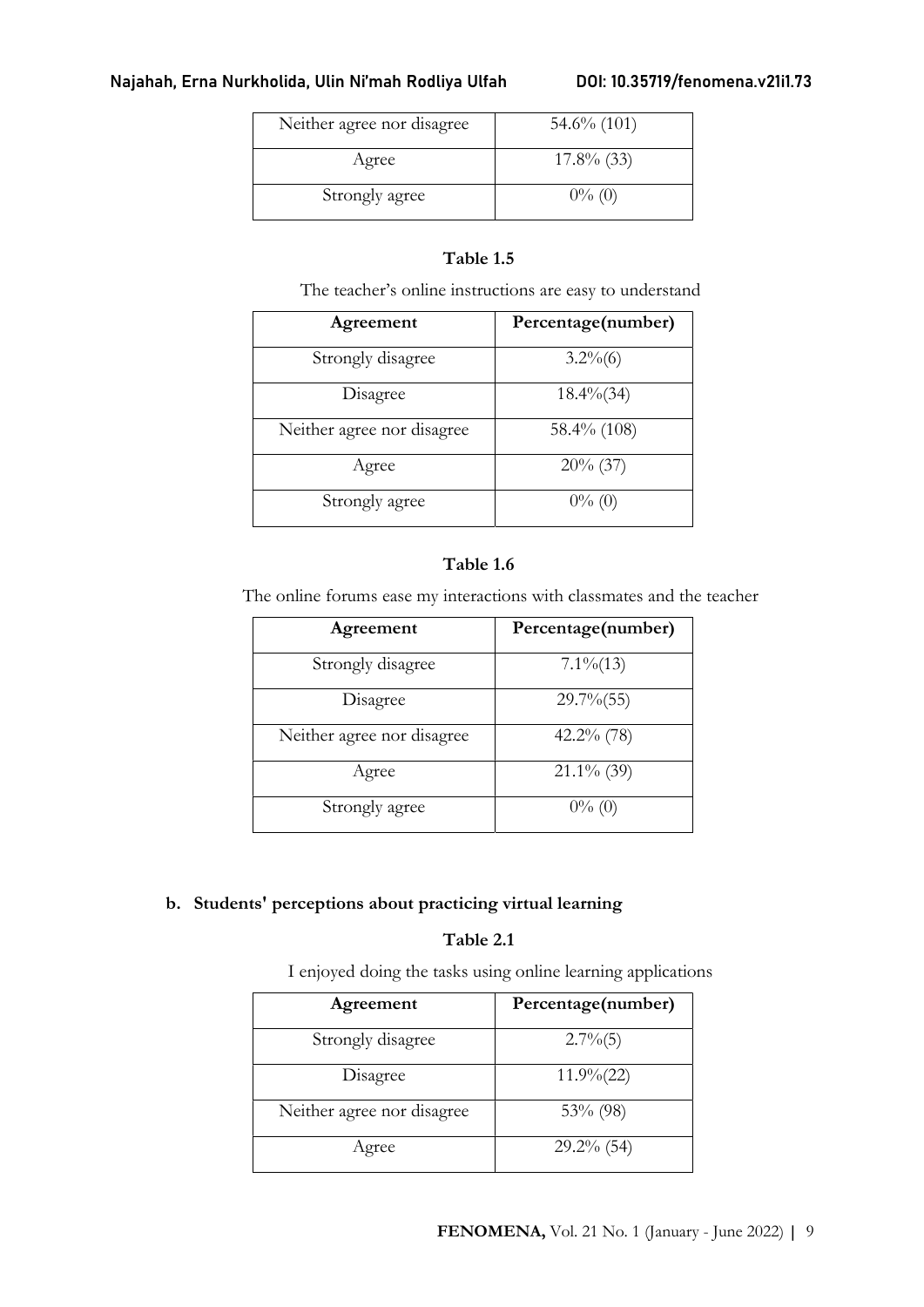| Neither agree nor disagree | $54.6\%$ (101) |
|----------------------------|----------------|
| Agree                      | $17.8\%$ (33)  |
| Strongly agree             | $0\%$ (0)      |

# Table 1.5

The teacher's online instructions are easy to understand

| Agreement                  | Percentage(number) |
|----------------------------|--------------------|
| Strongly disagree          | $3.2\%(6)$         |
| Disagree                   | $18.4\%$ (34)      |
| Neither agree nor disagree | 58.4% (108)        |
| Agree                      | $20\%$ (37)        |
| Strongly agree             | $0\%$ (0)          |

## Table 1.6

The online forums ease my interactions with classmates and the teacher

| Agreement                  | Percentage(number) |
|----------------------------|--------------------|
| Strongly disagree          | $7.1\%$ $(13)$     |
| Disagree                   | $29.7\%$ (55)      |
| Neither agree nor disagree | $42.2\%$ (78)      |
| Agree                      | $21.1\%$ (39)      |
| Strongly agree             | $0\%$ (0)          |

# b. Students' perceptions about practicing virtual learning

# Table 2.1

I enjoyed doing the tasks using online learning applications

| Agreement                  | Percentage(number) |
|----------------------------|--------------------|
| Strongly disagree          | $2.7\%$ (5)        |
| Disagree                   | $11.9\frac{6}{22}$ |
| Neither agree nor disagree | $53\%$ (98)        |
| Agree                      | $29.2\%$ (54)      |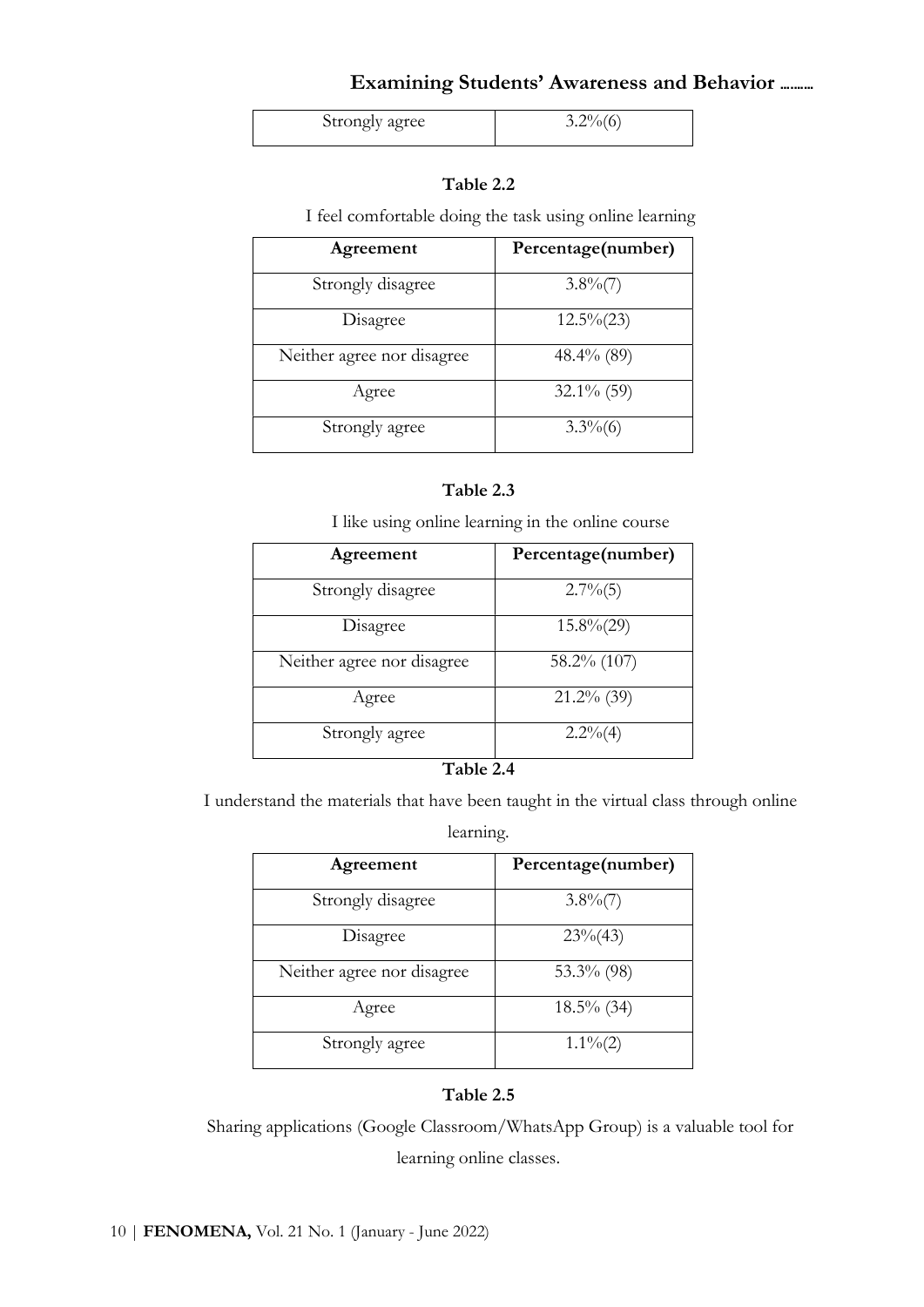| Strongly agree |  |
|----------------|--|

## Table 2.2

I feel comfortable doing the task using online learning

| Agreement                  | Percentage(number) |
|----------------------------|--------------------|
| Strongly disagree          | $3.8\%$ (7)        |
| Disagree                   | $12.5\%(23)$       |
| Neither agree nor disagree | $48.4\%$ (89)      |
| Agree                      | $32.1\%$ (59)      |
| Strongly agree             | $3.3\%$ (6)        |

### Table 2.3

I like using online learning in the online course

| Agreement                  | Percentage(number) |
|----------------------------|--------------------|
| Strongly disagree          | $2.7\%$ (5)        |
| Disagree                   | $15.8\%(29)$       |
| Neither agree nor disagree | 58.2% (107)        |
| Agree                      | $21.2\%$ (39)      |
| Strongly agree             | $2.2\%$ (4)        |
|                            |                    |

#### Table 2.4

I understand the materials that have been taught in the virtual class through online

#### learning.

| Agreement                  | Percentage(number) |
|----------------------------|--------------------|
| Strongly disagree          | $3.8\%$ (7)        |
| Disagree                   | $23\%(43)$         |
| Neither agree nor disagree | 53.3% $(98)$       |
| Agree                      | $18.5\%$ (34)      |
| Strongly agree             | $1.1\%$ (2)        |

## Table 2.5

Sharing applications (Google Classroom/WhatsApp Group) is a valuable tool for

learning online classes.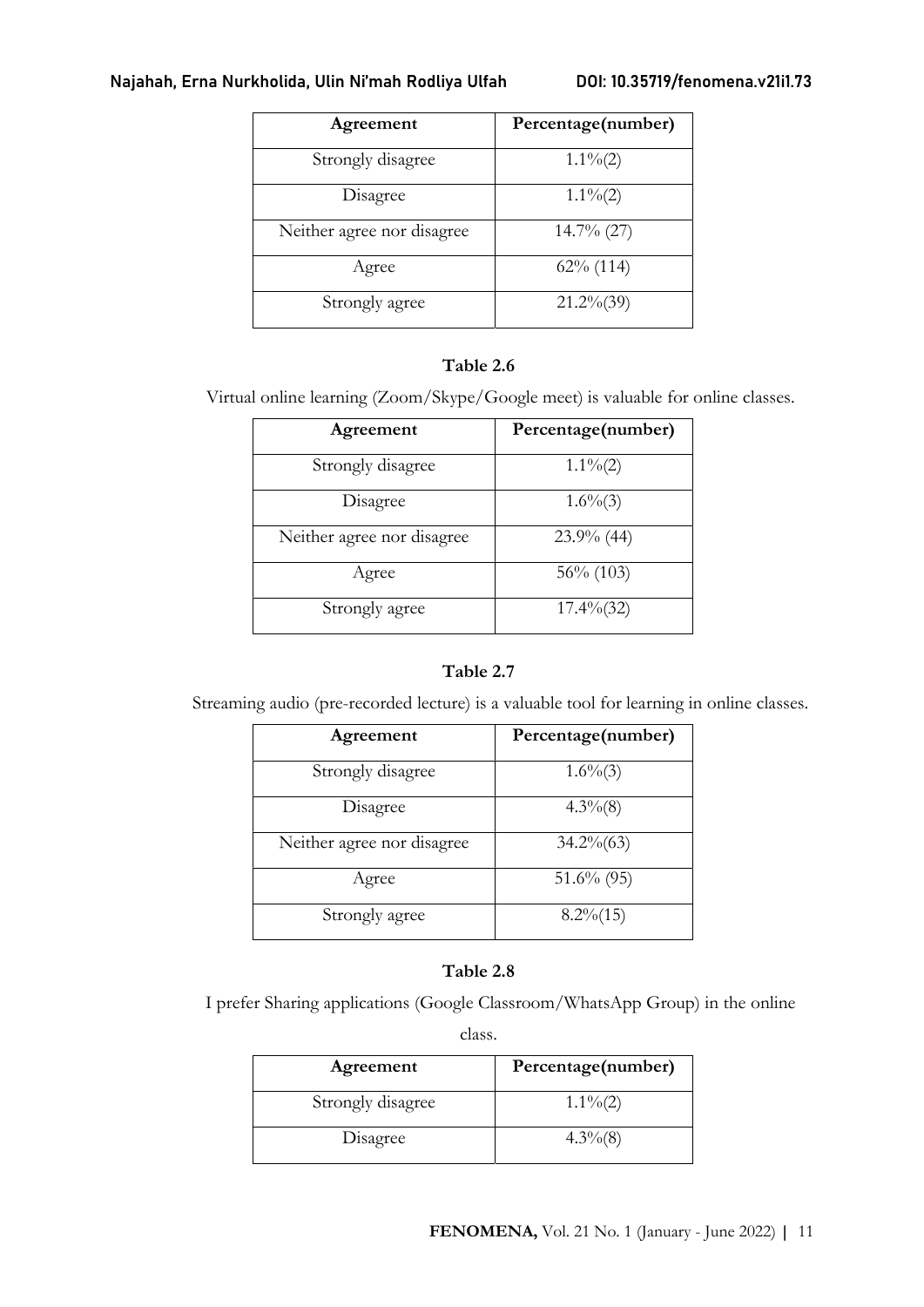| Agreement                  | Percentage(number) |
|----------------------------|--------------------|
| Strongly disagree          | $1.1\%(2)$         |
| Disagree                   | $1.1\%(2)$         |
| Neither agree nor disagree | $14.7\%$ (27)      |
| Agree                      | $62\%$ (114)       |
| Strongly agree             | $21.2\%(39)$       |

## Table 2.6

Virtual online learning (Zoom/Skype/Google meet) is valuable for online classes.

| Agreement                  | Percentage(number) |
|----------------------------|--------------------|
| Strongly disagree          | $1.1\%(2)$         |
| Disagree                   | $1.6\%$ (3)        |
| Neither agree nor disagree | $23.9\%$ (44)      |
| Agree                      | $56\%$ (103)       |
| Strongly agree             | $17.4\%$ (32)      |

# Table 2.7

Streaming audio (pre-recorded lecture) is a valuable tool for learning in online classes.

| Agreement                  | Percentage(number) |
|----------------------------|--------------------|
| Strongly disagree          | $1.6\%(3)$         |
| Disagree                   | $4.3\%$ $(8)$      |
| Neither agree nor disagree | $34.2\%(63)$       |
| Agree                      | $51.6\%$ (95)      |
| Strongly agree             | $8.2\% (15)$       |

# Table 2.8

I prefer Sharing applications (Google Classroom/WhatsApp Group) in the online

class.

| Agreement         | Percentage(number) |
|-------------------|--------------------|
| Strongly disagree | $1.1\%(2)$         |
| Disagree          | $4.3\%$ $(8)$      |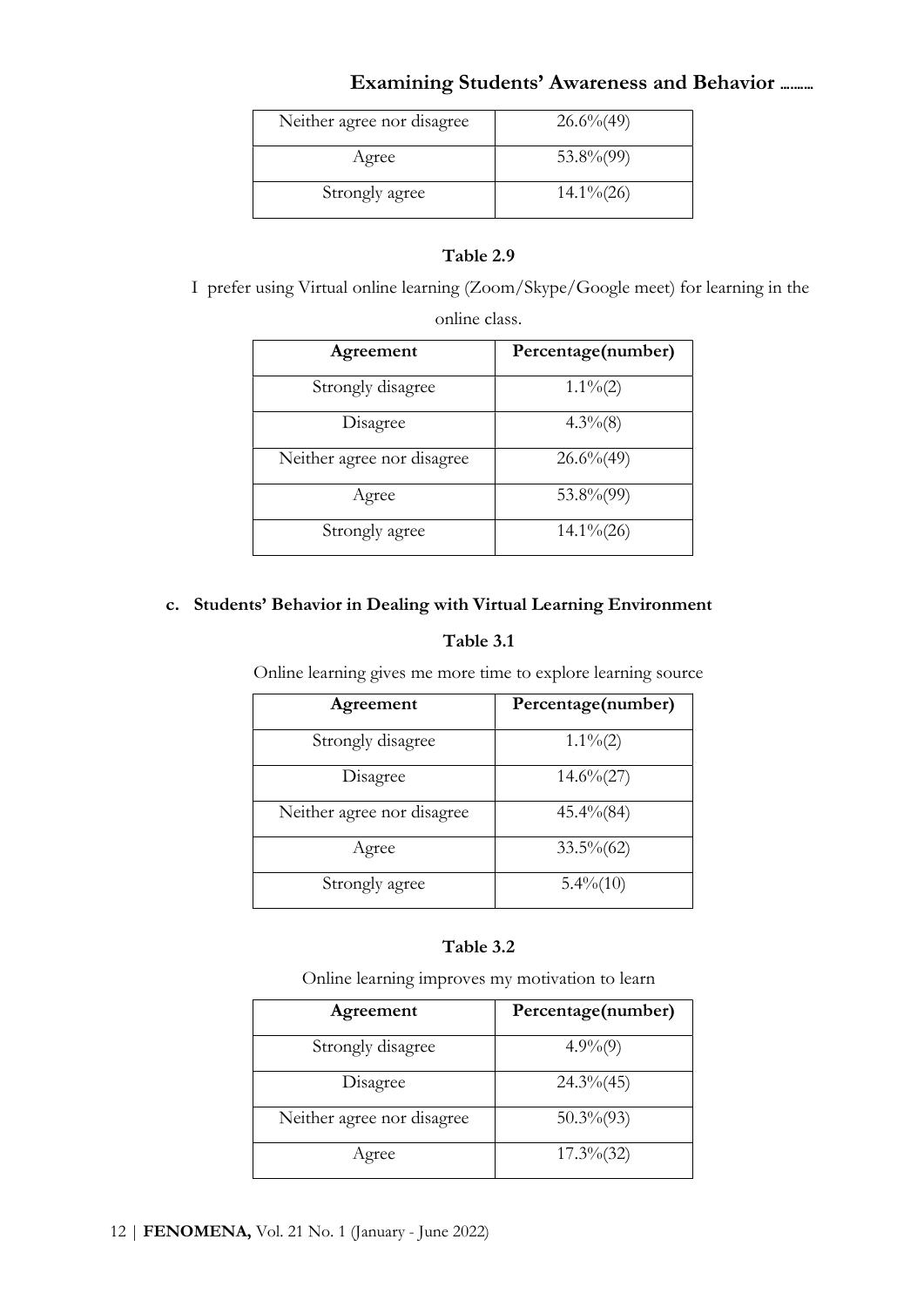| Neither agree nor disagree | $26.6\% (49)$ |
|----------------------------|---------------|
| Agree                      | $53.8\%$ (99) |
| Strongly agree             | $14.1\% (26)$ |

# Table 2.9

I prefer using Virtual online learning (Zoom/Skype/Google meet) for learning in the

online class.

| Agreement                  | Percentage(number) |
|----------------------------|--------------------|
| Strongly disagree          | $1.1\%(2)$         |
| Disagree                   | $4.3\%$ $(8)$      |
| Neither agree nor disagree | $26.6\% (49)$      |
| Agree                      | 53.8%(99)          |
| Strongly agree             | $14.1\% (26)$      |

# c. Students' Behavior in Dealing with Virtual Learning Environment

# Table 3.1

Online learning gives me more time to explore learning source

| Agreement                  | Percentage(number) |
|----------------------------|--------------------|
| Strongly disagree          | $1.1\%(2)$         |
| Disagree                   | $14.6\%(27)$       |
| Neither agree nor disagree | $45.4\% (84)$      |
| Agree                      | $33.5\%(62)$       |
| Strongly agree             | $5.4\%(10)$        |

# Table 3.2

Online learning improves my motivation to learn

| Agreement                  | Percentage(number) |
|----------------------------|--------------------|
| Strongly disagree          | $4.9\%(9)$         |
| Disagree                   | $24.3\% (45)$      |
| Neither agree nor disagree | $50.3\% (93)$      |
| Agree                      | $17.3\%(32)$       |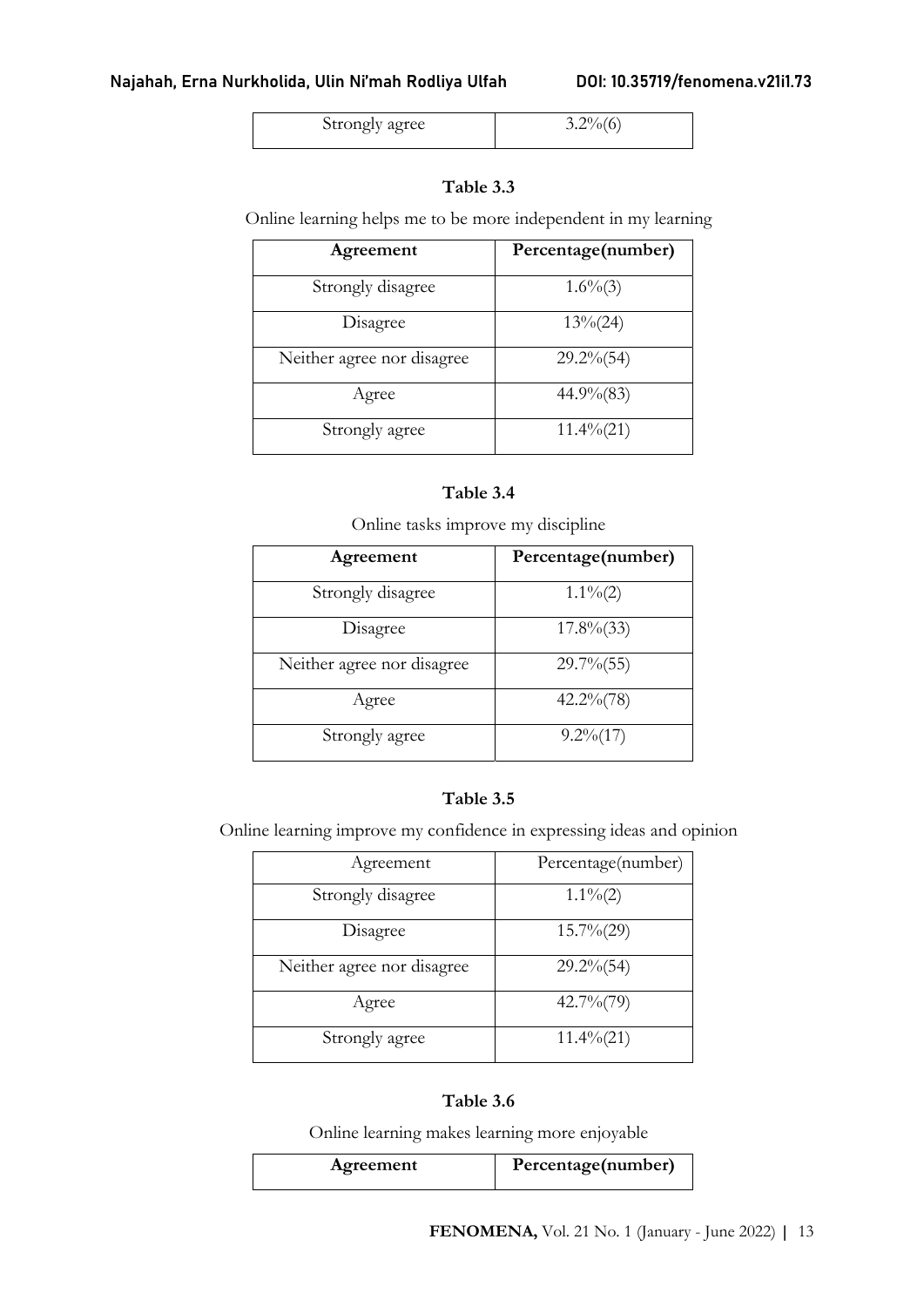| Strongly agree |  |
|----------------|--|

# Table 3.3

Online learning helps me to be more independent in my learning

| Agreement                  | Percentage(number) |
|----------------------------|--------------------|
| Strongly disagree          | $1.6\%(3)$         |
| Disagree                   | $13\% (24)$        |
| Neither agree nor disagree | $29.2\% (54)$      |
| Agree                      | $44.9\% (83)$      |
| Strongly agree             | $11.4\% (21)$      |

### Table 3.4

Online tasks improve my discipline

| Agreement                  | Percentage(number) |
|----------------------------|--------------------|
| Strongly disagree          | $1.1\%(2)$         |
| Disagree                   | $17.8\%$ (33)      |
| Neither agree nor disagree | $29.7\%$ (55)      |
| Agree                      | $42.2\% (78)$      |
| Strongly agree             | $9.2\%(17)$        |

# Table 3.5

Online learning improve my confidence in expressing ideas and opinion

| Agreement                  | Percentage(number) |
|----------------------------|--------------------|
| Strongly disagree          | $1.1\%(2)$         |
| Disagree                   | $15.7\% (29)$      |
| Neither agree nor disagree | $29.2\% (54)$      |
| Agree                      | $42.7\%$ (79)      |
| Strongly agree             | $11.4\%(21)$       |

# Table 3.6

Online learning makes learning more enjoyable

| Agreement | Percentage(number) |
|-----------|--------------------|
|           |                    |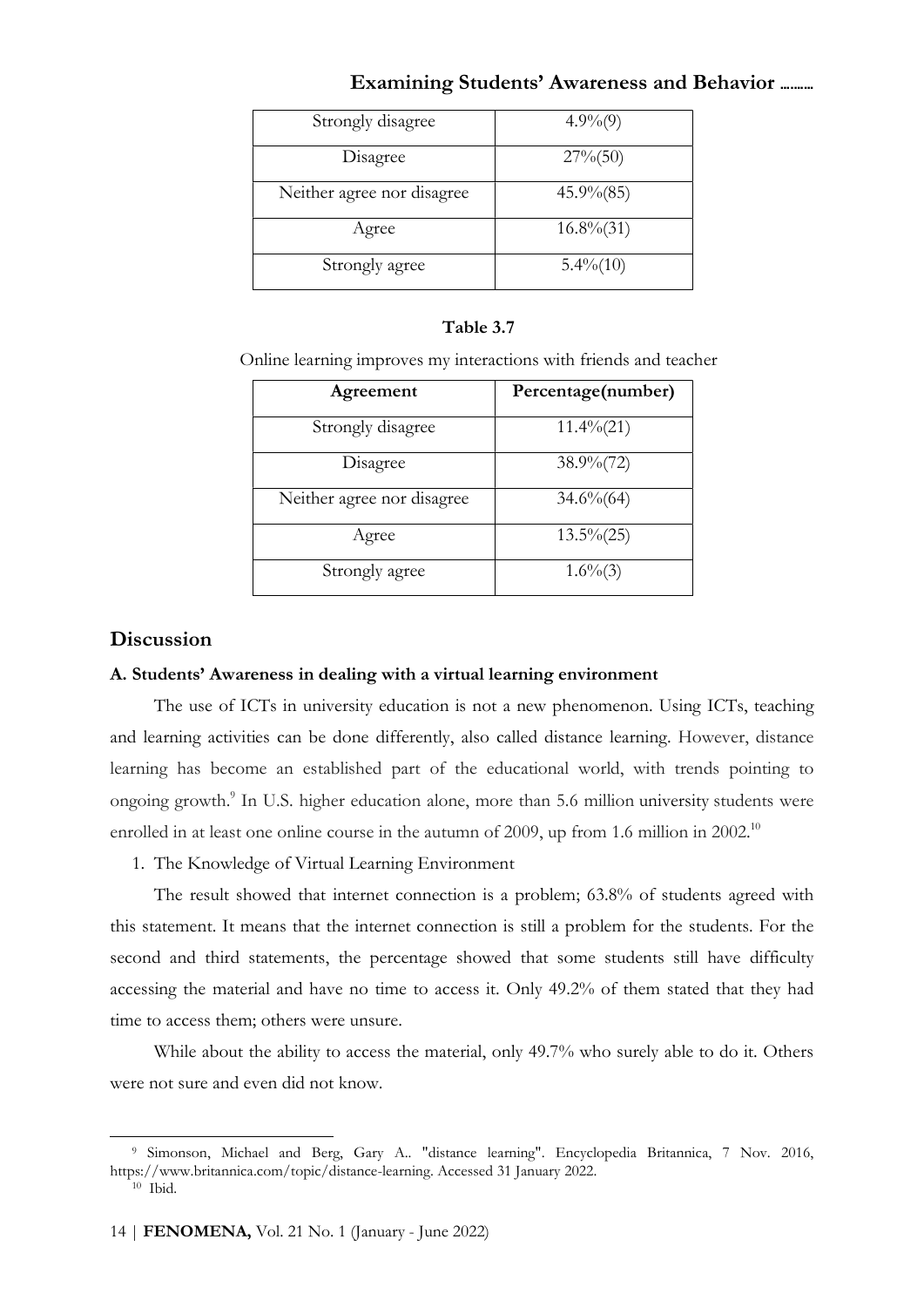| Strongly disagree          | $4.9\%(9)$    |
|----------------------------|---------------|
| Disagree                   | $27\% (50)$   |
| Neither agree nor disagree | $45.9\% (85)$ |
| Agree                      | $16.8\% (31)$ |
| Strongly agree             | $5.4\%(10)$   |

#### Table 3.7

Online learning improves my interactions with friends and teacher

| Agreement                  | Percentage(number) |
|----------------------------|--------------------|
| Strongly disagree          | $11.4\% (21)$      |
| Disagree                   | $38.9\frac{6}{72}$ |
| Neither agree nor disagree | $34.6\%$ (64)      |
| Agree                      | $13.5\%(25)$       |
| Strongly agree             | $1.6\%$ (3)        |

## **Discussion**

#### A. Students' Awareness in dealing with a virtual learning environment

The use of ICTs in university education is not a new phenomenon. Using ICTs, teaching and learning activities can be done differently, also called distance learning. However, distance learning has become an established part of the educational world, with trends pointing to ongoing growth.<sup>9</sup> In U.S. higher education alone, more than 5.6 million university students were enrolled in at least one online course in the autumn of 2009, up from 1.6 million in 2002.<sup>10</sup>

1. The Knowledge of Virtual Learning Environment

The result showed that internet connection is a problem; 63.8% of students agreed with this statement. It means that the internet connection is still a problem for the students. For the second and third statements, the percentage showed that some students still have difficulty accessing the material and have no time to access it. Only 49.2% of them stated that they had time to access them; others were unsure.

While about the ability to access the material, only 49.7% who surely able to do it. Others were not sure and even did not know.

<sup>9</sup> Simonson, Michael and Berg, Gary A.. "distance learning". Encyclopedia Britannica, 7 Nov. 2016, https://www.britannica.com/topic/distance-learning. Accessed 31 January 2022. 10 Ibid.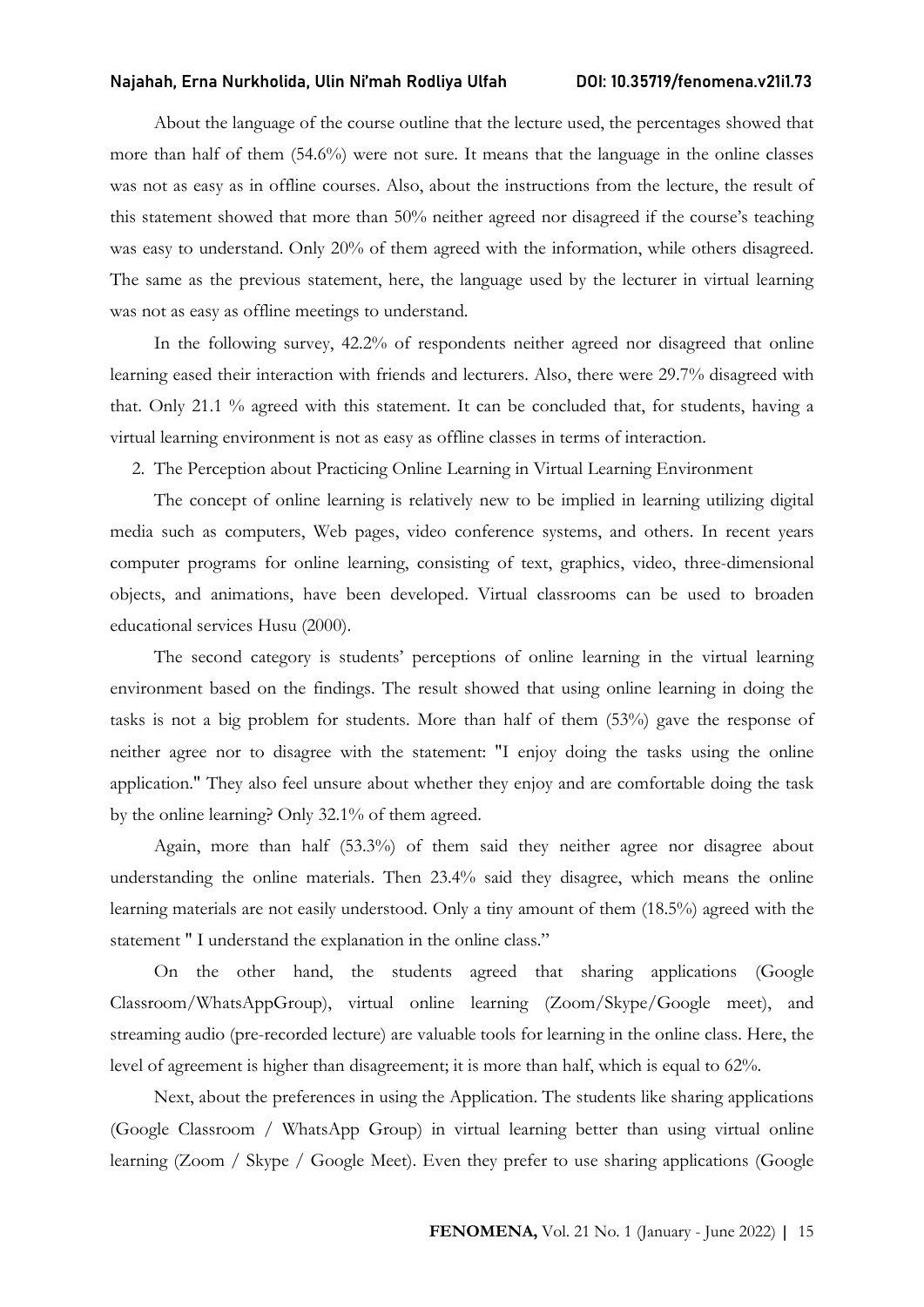About the language of the course outline that the lecture used, the percentages showed that more than half of them (54.6%) were not sure. It means that the language in the online classes was not as easy as in offline courses. Also, about the instructions from the lecture, the result of this statement showed that more than 50% neither agreed nor disagreed if the course's teaching was easy to understand. Only 20% of them agreed with the information, while others disagreed. The same as the previous statement, here, the language used by the lecturer in virtual learning was not as easy as offline meetings to understand.

In the following survey, 42.2% of respondents neither agreed nor disagreed that online learning eased their interaction with friends and lecturers. Also, there were 29.7% disagreed with that. Only 21.1 % agreed with this statement. It can be concluded that, for students, having a virtual learning environment is not as easy as offline classes in terms of interaction.

2. The Perception about Practicing Online Learning in Virtual Learning Environment

The concept of online learning is relatively new to be implied in learning utilizing digital media such as computers, Web pages, video conference systems, and others. In recent years computer programs for online learning, consisting of text, graphics, video, three-dimensional objects, and animations, have been developed. Virtual classrooms can be used to broaden educational services Husu (2000).

The second category is students' perceptions of online learning in the virtual learning environment based on the findings. The result showed that using online learning in doing the tasks is not a big problem for students. More than half of them (53%) gave the response of neither agree nor to disagree with the statement: "I enjoy doing the tasks using the online application." They also feel unsure about whether they enjoy and are comfortable doing the task by the online learning? Only 32.1% of them agreed.

Again, more than half (53.3%) of them said they neither agree nor disagree about understanding the online materials. Then 23.4% said they disagree, which means the online learning materials are not easily understood. Only a tiny amount of them (18.5%) agreed with the statement " I understand the explanation in the online class."

On the other hand, the students agreed that sharing applications (Google Classroom/WhatsAppGroup), virtual online learning (Zoom/Skype/Google meet), and streaming audio (pre-recorded lecture) are valuable tools for learning in the online class. Here, the level of agreement is higher than disagreement; it is more than half, which is equal to 62%.

Next, about the preferences in using the Application. The students like sharing applications (Google Classroom / WhatsApp Group) in virtual learning better than using virtual online learning (Zoom / Skype / Google Meet). Even they prefer to use sharing applications (Google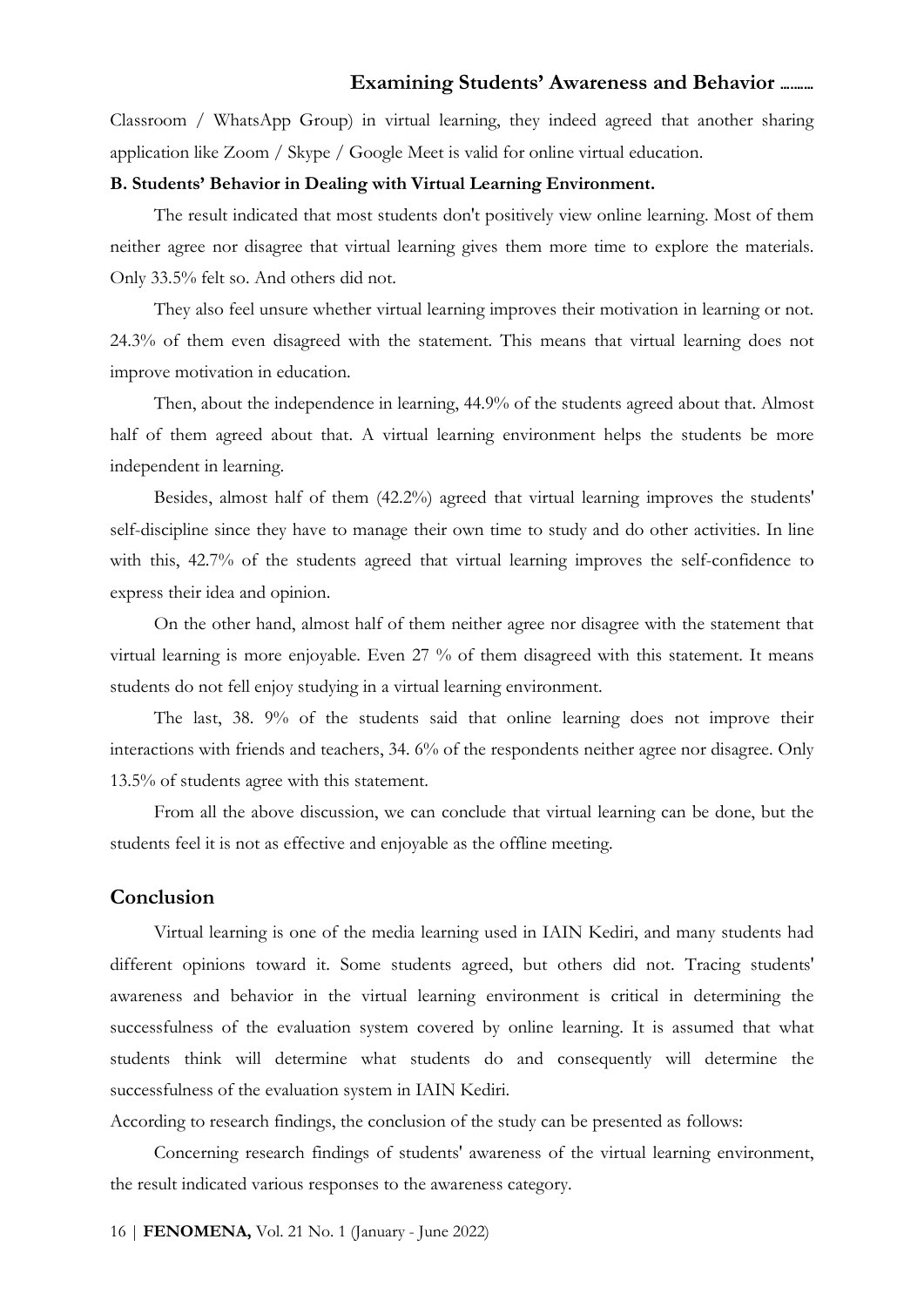Classroom / WhatsApp Group) in virtual learning, they indeed agreed that another sharing application like Zoom / Skype / Google Meet is valid for online virtual education.

#### B. Students' Behavior in Dealing with Virtual Learning Environment.

The result indicated that most students don't positively view online learning. Most of them neither agree nor disagree that virtual learning gives them more time to explore the materials. Only 33.5% felt so. And others did not.

They also feel unsure whether virtual learning improves their motivation in learning or not. 24.3% of them even disagreed with the statement. This means that virtual learning does not improve motivation in education.

Then, about the independence in learning, 44.9% of the students agreed about that. Almost half of them agreed about that. A virtual learning environment helps the students be more independent in learning.

Besides, almost half of them (42.2%) agreed that virtual learning improves the students' self-discipline since they have to manage their own time to study and do other activities. In line with this, 42.7% of the students agreed that virtual learning improves the self-confidence to express their idea and opinion.

On the other hand, almost half of them neither agree nor disagree with the statement that virtual learning is more enjoyable. Even 27 % of them disagreed with this statement. It means students do not fell enjoy studying in a virtual learning environment.

The last, 38. 9% of the students said that online learning does not improve their interactions with friends and teachers, 34. 6% of the respondents neither agree nor disagree. Only 13.5% of students agree with this statement.

From all the above discussion, we can conclude that virtual learning can be done, but the students feel it is not as effective and enjoyable as the offline meeting.

## Conclusion

Virtual learning is one of the media learning used in IAIN Kediri, and many students had different opinions toward it. Some students agreed, but others did not. Tracing students' awareness and behavior in the virtual learning environment is critical in determining the successfulness of the evaluation system covered by online learning. It is assumed that what students think will determine what students do and consequently will determine the successfulness of the evaluation system in IAIN Kediri.

According to research findings, the conclusion of the study can be presented as follows:

Concerning research findings of students' awareness of the virtual learning environment, the result indicated various responses to the awareness category.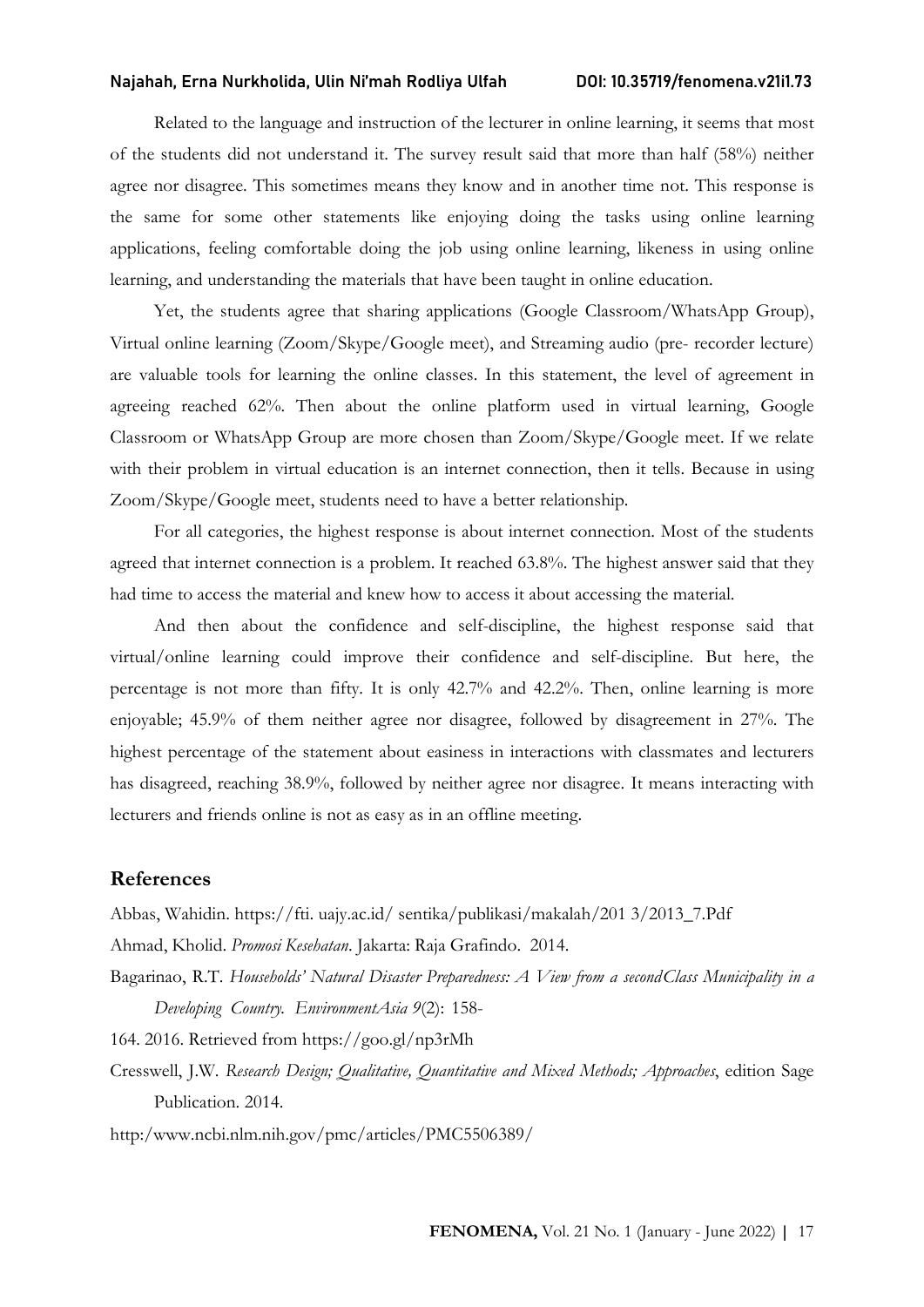Related to the language and instruction of the lecturer in online learning, it seems that most of the students did not understand it. The survey result said that more than half (58%) neither agree nor disagree. This sometimes means they know and in another time not. This response is the same for some other statements like enjoying doing the tasks using online learning applications, feeling comfortable doing the job using online learning, likeness in using online learning, and understanding the materials that have been taught in online education.

Yet, the students agree that sharing applications (Google Classroom/WhatsApp Group), Virtual online learning (Zoom/Skype/Google meet), and Streaming audio (pre- recorder lecture) are valuable tools for learning the online classes. In this statement, the level of agreement in agreeing reached 62%. Then about the online platform used in virtual learning, Google Classroom or WhatsApp Group are more chosen than Zoom/Skype/Google meet. If we relate with their problem in virtual education is an internet connection, then it tells. Because in using Zoom/Skype/Google meet, students need to have a better relationship.

For all categories, the highest response is about internet connection. Most of the students agreed that internet connection is a problem. It reached 63.8%. The highest answer said that they had time to access the material and knew how to access it about accessing the material.

And then about the confidence and self-discipline, the highest response said that virtual/online learning could improve their confidence and self-discipline. But here, the percentage is not more than fifty. It is only 42.7% and 42.2%. Then, online learning is more enjoyable; 45.9% of them neither agree nor disagree, followed by disagreement in 27%. The highest percentage of the statement about easiness in interactions with classmates and lecturers has disagreed, reaching 38.9%, followed by neither agree nor disagree. It means interacting with lecturers and friends online is not as easy as in an offline meeting.

#### References

Abbas, Wahidin. https://fti. uajy.ac.id/ sentika/publikasi/makalah/201 3/2013\_7.Pdf

Ahmad, Kholid. Promosi Kesehatan. Jakarta: Raja Grafindo. 2014.

Bagarinao, R.T. Households' Natural Disaster Preparedness: A View from a second Class Municipality in a Developing Country. EnvironmentAsia 9(2): 158-

164. 2016. Retrieved from https://goo.gl/np3rMh

Cresswell, J.W. Research Design; Qualitative, Quantitative and Mixed Methods; Approaches, edition Sage Publication. 2014.

http:/www.ncbi.nlm.nih.gov/pmc/articles/PMC5506389/